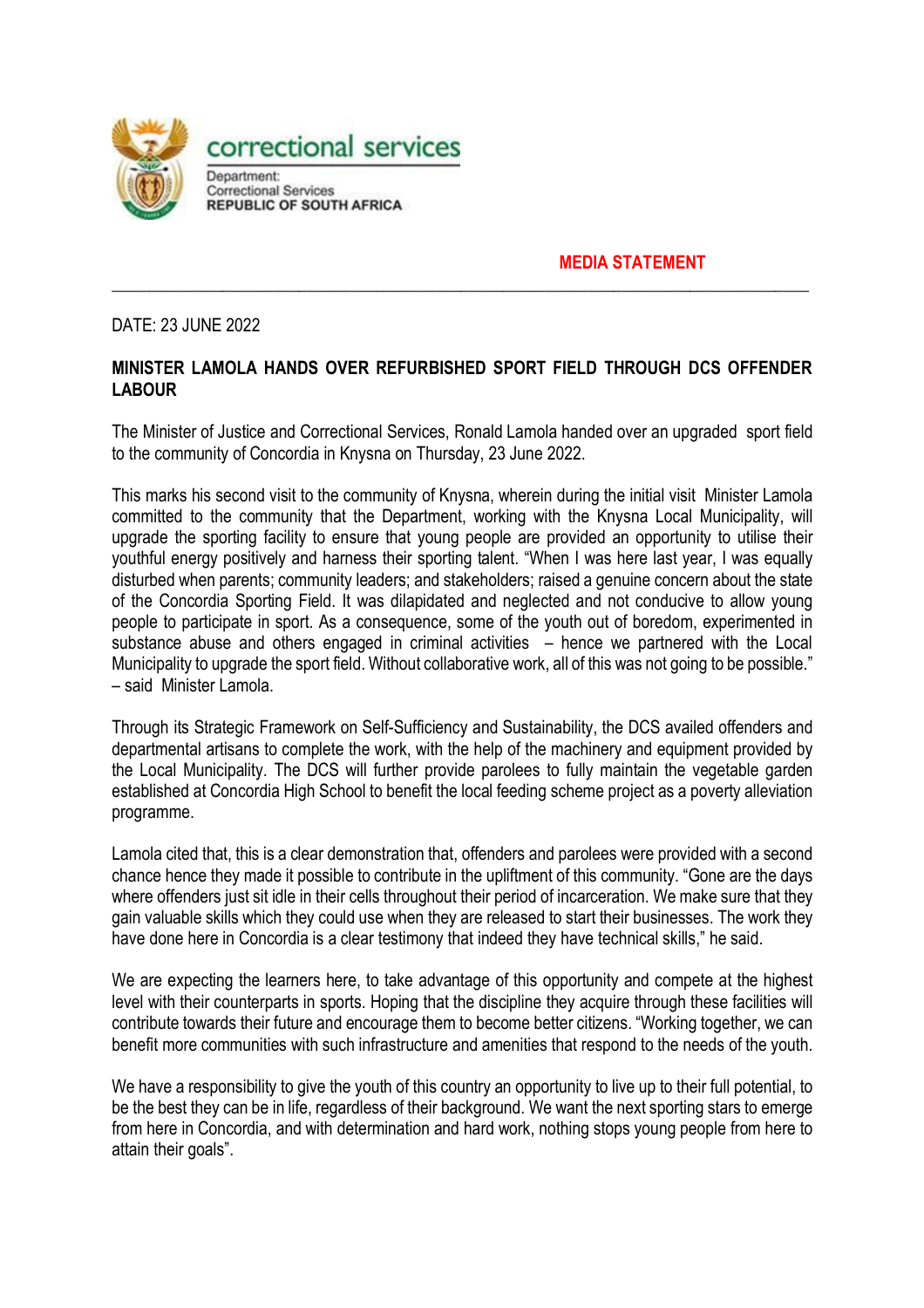

**MEDIA STATEMENT**

DATE: 23 JUNE 2022

## **MINISTER LAMOLA HANDS OVER REFURBISHED SPORT FIELD THROUGH DCS OFFENDER LABOUR**

**\_\_\_\_\_\_\_\_\_\_\_\_\_\_\_\_\_\_\_\_\_\_\_\_\_\_\_\_\_\_\_\_\_\_\_\_\_\_\_\_\_\_\_\_\_\_\_\_\_\_\_\_\_\_\_\_\_\_\_\_\_\_\_\_\_\_\_\_\_\_\_\_\_\_\_\_\_\_\_\_\_\_**

The Minister of Justice and Correctional Services, Ronald Lamola handed over an upgraded sport field to the community of Concordia in Knysna on Thursday, 23 June 2022.

This marks his second visit to the community of Knysna, wherein during the initial visit Minister Lamola committed to the community that the Department, working with the Knysna Local Municipality, will upgrade the sporting facility to ensure that young people are provided an opportunity to utilise their youthful energy positively and harness their sporting talent. "When I was here last year, I was equally disturbed when parents; community leaders; and stakeholders; raised a genuine concern about the state of the Concordia Sporting Field. It was dilapidated and neglected and not conducive to allow young people to participate in sport. As a consequence, some of the youth out of boredom, experimented in substance abuse and others engaged in criminal activities – hence we partnered with the Local Municipality to upgrade the sport field. Without collaborative work, all of this was not going to be possible." – said Minister Lamola.

Through its Strategic Framework on Self-Sufficiency and Sustainability, the DCS availed offenders and departmental artisans to complete the work, with the help of the machinery and equipment provided by the Local Municipality. The DCS will further provide parolees to fully maintain the vegetable garden established at Concordia High School to benefit the local feeding scheme project as a poverty alleviation programme.

Lamola cited that, this is a clear demonstration that, offenders and parolees were provided with a second chance hence they made it possible to contribute in the upliftment of this community. "Gone are the days where offenders just sit idle in their cells throughout their period of incarceration. We make sure that they gain valuable skills which they could use when they are released to start their businesses. The work they have done here in Concordia is a clear testimony that indeed they have technical skills," he said.

We are expecting the learners here, to take advantage of this opportunity and compete at the highest level with their counterparts in sports. Hoping that the discipline they acquire through these facilities will contribute towards their future and encourage them to become better citizens. "Working together, we can benefit more communities with such infrastructure and amenities that respond to the needs of the youth.

We have a responsibility to give the youth of this country an opportunity to live up to their full potential, to be the best they can be in life, regardless of their background. We want the next sporting stars to emerge from here in Concordia, and with determination and hard work, nothing stops young people from here to attain their goals".